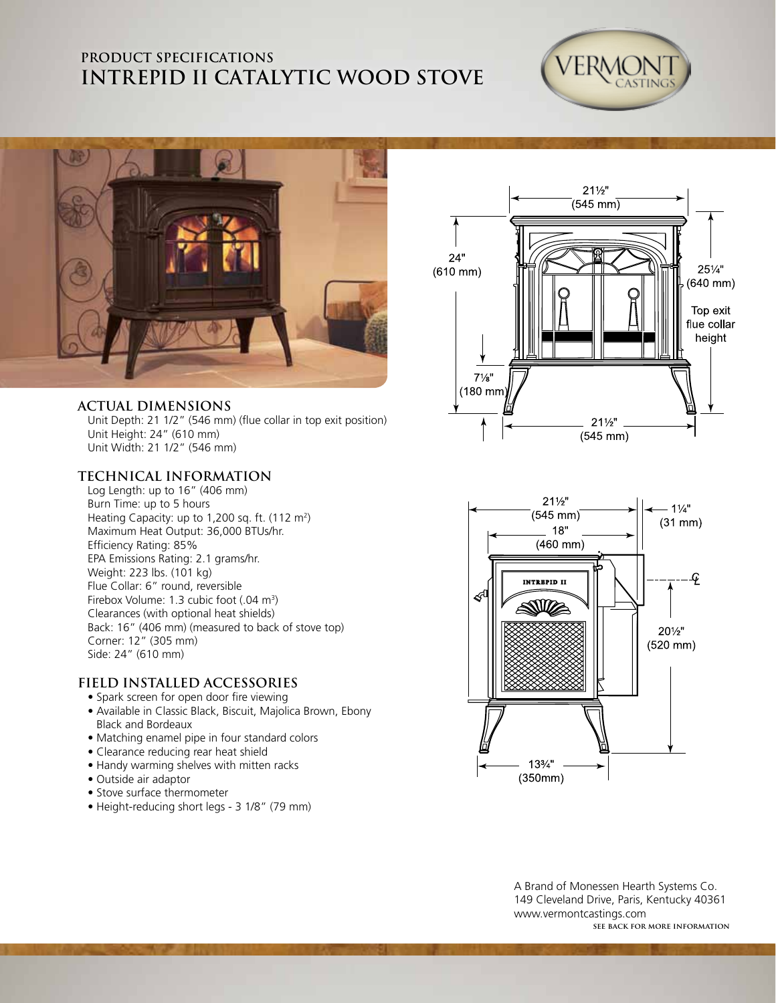## **PRODUCT SPECIFICATIONS INTREPID II Catalytic Wood Stove**





#### **ACTUAL DIMENSIONS**

Unit Depth: 21 1/2" (546 mm) (flue collar in top exit position) Unit Height: 24" (610 mm) Unit Width: 21 1/2" (546 mm)

#### **TECHNICAL INFORMATION**

Log Length: up to 16" (406 mm) Burn Time: up to 5 hours Heating Capacity: up to 1,200 sq. ft.  $(112 \text{ m}^2)$ Maximum Heat Output: 36,000 BTUs/hr. Efficiency Rating: 85% EPA Emissions Rating: 2.1 grams/hr. Weight: 223 lbs. (101 kg) Flue Collar: 6" round, reversible Firebox Volume: 1.3 cubic foot (.04 m<sup>3</sup>) Clearances (with optional heat shields) Back: 16" (406 mm) (measured to back of stove top) Corner: 12" (305 mm) Side: 24" (610 mm)

#### **FIELD INSTALLED ACCESSORIES**

- Spark screen for open door fire viewing
- Available in Classic Black, Biscuit, Majolica Brown, Ebony Black and Bordeaux
- Matching enamel pipe in four standard colors
- Clearance reducing rear heat shield
- Handy warming shelves with mitten racks
- Outside air adaptor
- Stove surface thermometer
- Height-reducing short legs 3 1/8" (79 mm)





**see back for more information** A Brand of Monessen Hearth Systems Co. 149 Cleveland Drive, Paris, Kentucky 40361 www.vermontcastings.com